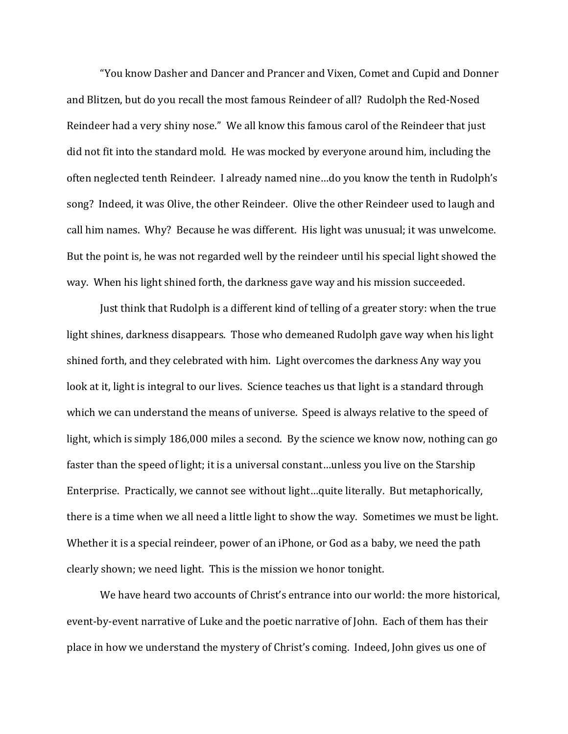"You know Dasher and Dancer and Prancer and Vixen, Comet and Cupid and Donner and Blitzen, but do you recall the most famous Reindeer of all? Rudolph the Red-Nosed Reindeer had a very shiny nose." We all know this famous carol of the Reindeer that just did not fit into the standard mold. He was mocked by everyone around him, including the often neglected tenth Reindeer. I already named nine…do you know the tenth in Rudolph's song? Indeed, it was Olive, the other Reindeer. Olive the other Reindeer used to laugh and call him names. Why? Because he was different. His light was unusual; it was unwelcome. But the point is, he was not regarded well by the reindeer until his special light showed the way. When his light shined forth, the darkness gave way and his mission succeeded.

Just think that Rudolph is a different kind of telling of a greater story: when the true light shines, darkness disappears. Those who demeaned Rudolph gave way when his light shined forth, and they celebrated with him. Light overcomes the darkness Any way you look at it, light is integral to our lives. Science teaches us that light is a standard through which we can understand the means of universe. Speed is always relative to the speed of light, which is simply 186,000 miles a second. By the science we know now, nothing can go faster than the speed of light; it is a universal constant…unless you live on the Starship Enterprise. Practically, we cannot see without light…quite literally. But metaphorically, there is a time when we all need a little light to show the way. Sometimes we must be light. Whether it is a special reindeer, power of an iPhone, or God as a baby, we need the path clearly shown; we need light. This is the mission we honor tonight.

We have heard two accounts of Christ's entrance into our world: the more historical, event-by-event narrative of Luke and the poetic narrative of John. Each of them has their place in how we understand the mystery of Christ's coming. Indeed, John gives us one of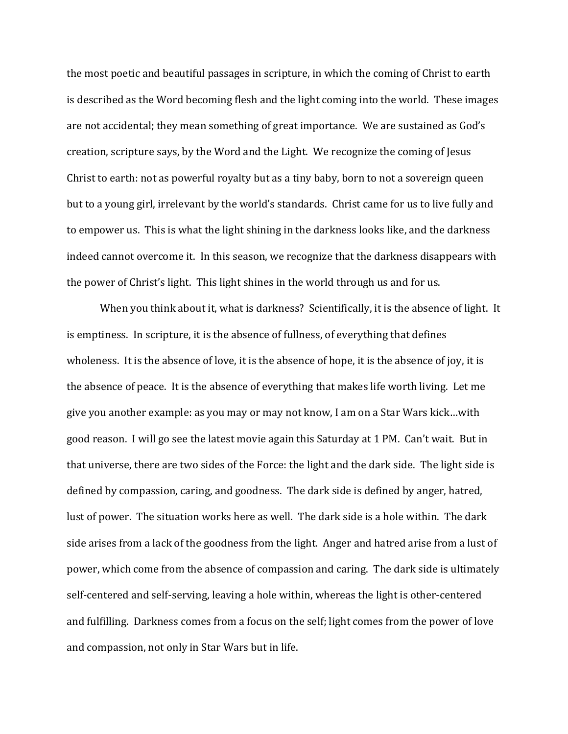the most poetic and beautiful passages in scripture, in which the coming of Christ to earth is described as the Word becoming flesh and the light coming into the world. These images are not accidental; they mean something of great importance. We are sustained as God's creation, scripture says, by the Word and the Light. We recognize the coming of Jesus Christ to earth: not as powerful royalty but as a tiny baby, born to not a sovereign queen but to a young girl, irrelevant by the world's standards. Christ came for us to live fully and to empower us. This is what the light shining in the darkness looks like, and the darkness indeed cannot overcome it. In this season, we recognize that the darkness disappears with the power of Christ's light. This light shines in the world through us and for us.

When you think about it, what is darkness? Scientifically, it is the absence of light. It is emptiness. In scripture, it is the absence of fullness, of everything that defines wholeness. It is the absence of love, it is the absence of hope, it is the absence of joy, it is the absence of peace. It is the absence of everything that makes life worth living. Let me give you another example: as you may or may not know, I am on a Star Wars kick…with good reason. I will go see the latest movie again this Saturday at 1 PM. Can't wait. But in that universe, there are two sides of the Force: the light and the dark side. The light side is defined by compassion, caring, and goodness. The dark side is defined by anger, hatred, lust of power. The situation works here as well. The dark side is a hole within. The dark side arises from a lack of the goodness from the light. Anger and hatred arise from a lust of power, which come from the absence of compassion and caring. The dark side is ultimately self-centered and self-serving, leaving a hole within, whereas the light is other-centered and fulfilling. Darkness comes from a focus on the self; light comes from the power of love and compassion, not only in Star Wars but in life.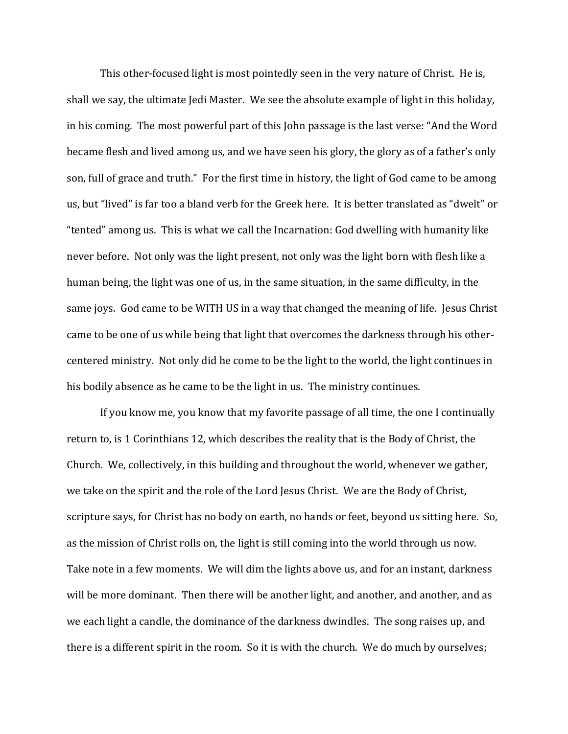This other-focused light is most pointedly seen in the very nature of Christ. He is, shall we say, the ultimate Jedi Master. We see the absolute example of light in this holiday, in his coming. The most powerful part of this John passage is the last verse: "And the Word became flesh and lived among us, and we have seen his glory, the glory as of a father's only son, full of grace and truth." For the first time in history, the light of God came to be among us, but "lived" is far too a bland verb for the Greek here. It is better translated as "dwelt" or "tented" among us. This is what we call the Incarnation: God dwelling with humanity like never before. Not only was the light present, not only was the light born with flesh like a human being, the light was one of us, in the same situation, in the same difficulty, in the same joys. God came to be WITH US in a way that changed the meaning of life. Jesus Christ came to be one of us while being that light that overcomes the darkness through his othercentered ministry. Not only did he come to be the light to the world, the light continues in his bodily absence as he came to be the light in us. The ministry continues.

If you know me, you know that my favorite passage of all time, the one I continually return to, is 1 Corinthians 12, which describes the reality that is the Body of Christ, the Church. We, collectively, in this building and throughout the world, whenever we gather, we take on the spirit and the role of the Lord Jesus Christ. We are the Body of Christ, scripture says, for Christ has no body on earth, no hands or feet, beyond us sitting here. So, as the mission of Christ rolls on, the light is still coming into the world through us now. Take note in a few moments. We will dim the lights above us, and for an instant, darkness will be more dominant. Then there will be another light, and another, and another, and as we each light a candle, the dominance of the darkness dwindles. The song raises up, and there is a different spirit in the room. So it is with the church. We do much by ourselves;